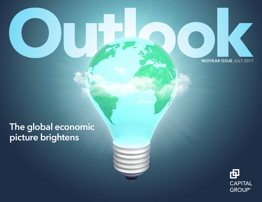MIDYEAR ISSUE JULY 2017

# The global economic picture brightens

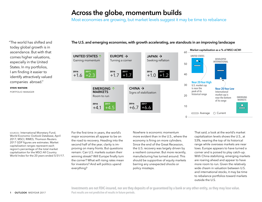### Across the globe, momentum builds

Most economies are growing, but market levels suggest it may be time to rebalance

"The world has shifted and today global growth is in ascendance. But with that comes higher valuations, especially in the United States. In my portfolios, I am finding it easier to identify attractively valued companies abroad."

**steve watson** portfolio manager The U.S. and emerging economies, with growth accelerating, are standouts in an improving landscape



sources: International Monetary Fund, World Economic Outlook Database, April 2017; MSCI; RIMES; Thomson Reuters. 2017 GDP figures are estimates. Market capitalization ranges represent each region's percentage of the total market capitalization for the MSCI All Country World Index for the 20 years ended 5/31/17.

For the first time in years, the world's major economies all appear to be on the road to recovery. Heading into the second half of the year, clarity is improving on many fronts. But questions remain: Can U.S. markets sustain their winning streak? Will Europe finally turn the corner? What will rising rates mean for investors? And will politics upend everything?

Nowhere is economic momentum more evident than in the U.S., where the economy is firing on more cylinders. Since the end of the Great Recession, the U.S. recovery was largely driven by a resilient consumer. But more recently, manufacturing has turned around. This should be supportive of equity markets barring any unexpected shocks or policy missteps.

That said, a look at the world's market capitalization levels shows the U.S., at 53%, nearing the top of its historical range while overseas markets are near lows. Europe appears to have turned a corner and is poised to play catch-up. With China stabilizing, emerging markets are roaring ahead and appear to have more room to run. Given the relatively wide chasm in valuation between U.S. and international stocks, it may be time to rebalance portfolios toward markets outside the U.S.

Investments are not FDIC-insured, nor are they deposits of or guaranteed by a bank or any other entity, so they may lose value. Past results are not predictive of results in future periods.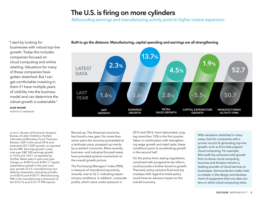## The U.S. is firing on more cylinders

Rebounding earnings and manufacturing activity point to higher octane expansion

"I start by looking for businesses with robust top-line growth. Today this includes companies focused on cloud computing and online retailing. Valuations for many of these companies have gotten stretched. But I can get comfortable investing in them if I have multiple years of visibility into the business model and can determine the robust growth is sustainable."

**alan wilson**

portfolio manager

sources: Bureau of Economic Analysis, Bureau of Labor Statistics, FactSet, International Monetary Fund, Thomson Reuters. GDP is the actual 2016 and estimated 2017 GDP growth, as reported by the IMF. Earnings growth is yearover-year S&P 500 earnings growth in 1Q16 and 1Q17, as reported by FactSet. Retail sales is year-over-year change on 4/30/16 and 4/30/17. Capital expenditure growth is the year-overyear growth of U.S. manufacturing nondefense shipments, excluding aircrafts, on 4/30/16 and 4/30/17. Manufacturing PMI is the manufacturing component of the 5/31/16 and 5/31/17 PMI reports.

Revved up: The American economy has found a new gear. For more than seven years the recovery proceeded at a lackluster pace, propped up mainly by a resilient consumer. More recently, business- and industrial-focused areas have provided positive momentum to the overall growth picture.

The Purchasing Managers' Index (PMI), a measure of manufacturing activity, recently rose to 52.7, indicating expansionary conditions. In addition, corporate profits, which came under pressure in

2015 and 2016, have rebounded, surging more than 13% in the first quarter. Taken in combination with strengthening wage growth and retail sales, these conditions point to accelerating growth in the second half.

On the policy front, easing regulations, combined with prospective tax reform, could provide a further boost to growth. That said, policy remains fluid and any missteps with regard to trade policy could have an adverse impact on the overall economy.

With valuations stretched in many areas, look for companies with a proven record of generating top-line growth, such as firms that support cloud computing. For example, Microsoft has achieved solid growth from its Azure cloud computing business and Amazon remains a leading provider of cloud services to businesses. Semiconductor-maker Intel is a leader in the design and development of equipment that runs data centers on which cloud computing relies.



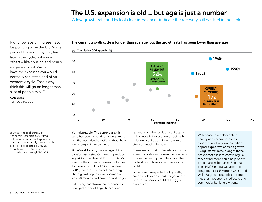### The U.S. expansion is old ... but age is just a number

A low growth rate and lack of clear imbalances indicate the recovery still has fuel in the tank

"Right now everything seems to be pointing up in the U.S. Some parts of the economy may feel late in the cycle, but many others — like housing and hourly wages — do not. We don't have the excesses you would normally see at the end of an economic cycle. That is why I think this will go on longer than a lot of people think."

#### **alan berro**

portfolio manager

The current growth cycle is longer than average, but the growth rate has been lower than average



sources: National Bureau of Economic Research, U.S. Bureau of Economic Analysis. Expansion duration uses monthly data through 5/31/17, as reported by NBER. Cumulative GDP Growth uses quarterly data through 3/31/17.

It's indisputable. The current growth cycle has been around for a long time, a fact that has raised questions about how much longer it can continue.

Since World War II, the average U.S. expansion has lasted 64 months, producing 24% cumulative GDP growth. At 95 months, the current expansion is longer than average. But its 17% cumulative GDP growth rate is lower than average. Three growth cycles have spanned at least 90 months and have been stronger.

But history has shown that expansions don't just die of old age. Recessions

generally are the result of a buildup of imbalances in the economy, such as high inflation, a buildup in inventory, or a stock or housing bubble.

There are no obvious imbalances in the economy today, and given the relatively modest pace of growth thus far in the cycle, it could take some time for any to build up.

To be sure, unexpected policy shifts, such as unfavorable trade negotiations, or external shocks could still trigger a recession.

With household balance sheets healthy and corporate interest expenses relatively low, conditions appear supportive of credit growth. Rising interest rates, along with the prospect of a less restrictive regulatory environment, could help boost profit margins for banks. Regional bank PNC Financial Services and conglomerates JPMorgan Chase and Wells Fargo are examples of companies that have strong credit card and commercial banking divisions.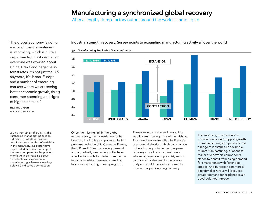### Manufacturing a synchronized global recovery

After a lengthy slump, factory output around the world is ramping up

"The global economy is doing well and investor sentiment is improving, which is quite a departure from last year when everyone was worried about China, Brexit and negative interest rates. It's not just the U.S. anymore, it's Japan, Europe and a number of emerging markets where we are seeing better economic growth, rising consumer spending and signs of higher inflation."

**lisa thompson**

portfolio manager

Industrial strength recovery: Survey points to expanding manufacturing activity all over the world



Manufacturing Purchasing Managers' Index 60

source: FactSet as of 5/31/17. The Purchasing Managers' Index is an indication of whether business conditions for a number of variables in the manufacturing sector have improved, deteriorated or stayed the same compared to the previous month. An index reading above 50 indicates an expansion in manufacturing, whereas a reading below 50 indicates a contraction.

Once the missing link in the global recovery story, the industrial sector has bounced back this year, powered by improvements in the U.S., Germany, France, the U.K. and China. Increasing demand and a gradually weakening dollar have acted as tailwinds for global manufacturing activity, while consumer spending has remained strong in many regions.

Threats to world trade and geopolitical stability are showing signs of diminishing. That trend was exemplified by France's presidential election, which could prove to be a turning point in the European recovery story. French voters' overwhelming rejection of populist, anti-EU candidates bodes well for European unity and could mark a key moment in time in Europe's ongoing recovery.

The improving macroeconomic environment should support growth for manufacturing companies across a range of industries. For example, Murata Manufacturing, a Japanese maker of electronic components, stands to benefit from rising demand for smartphones with faster data speeds. And European commercial aircraftmaker Airbus will likely see greater demand for its planes as airtravel volumes improve.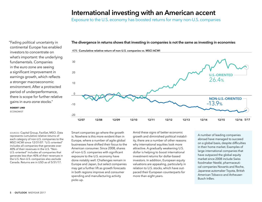### International investing with an American accent

Exposure to the U.S. economy has boosted returns for many non-U.S. companies

"Fading political uncertainty in continental Europe has enabled investors to concentrate on what's important: the underlying fundamentals. Companies in the euro zone are seeing a significant improvement in earnings growth, which reflects a stronger macroeconomic environment. After a protracted period of underperformance, there is scope for further relative gains in euro-zone stocks."

**robert lind**

economist

sources: Capital Group, FactSet, MSCI. Data represents cumulative relative returns of each category of non-U.S. companies to the MSCI ACWI since 12/31/07. "U.S.-oriented" includes all companies that generate over 40% of their revenues in the U.S. "Non-U.S.-oriented" includes all companies that generate less than 40% of their revenues in the U.S. Non-U.S. companies also exclude Canada. Returns are in USD as of 5/31/17.

Smart companies go where the growth is. Nowhere is this more evident than in Europe, where a number of agile global businesses have shifted their focus to the American consumer. Since 2008, shares of non-U.S. companies with significant exposure to the U.S. economy have done notably well. Challenges remain in Europe and Japan, but select companies may get a further lift as growth forecasts in both regions improve and consumer spending and manufacturing activity picks up.

Amid these signs of better economic growth and diminished political instability, there are a number of other reasons why international equities look more attractive. A gradually weakening U.S. dollar is helping to boost international investment returns for dollar-based investors. In addition, European equity valuations are appealing, particularly in relation to U.S. stocks, which have outpaced their European counterparts for more than eight years.

A number of leading companies abroad have managed to succeed on a global basis, despite difficulties in their home market. Examples of large international companies that have outpaced the global equity market since 2008 include Swiss foodmaker Nestlé, pharmaceutical companies Novartis and Roche, Japanese automaker Toyota, British American Tobacco and Anheuser-Busch InBev.

The divergence in returns shows that investing in companies is not the same as investing in economies



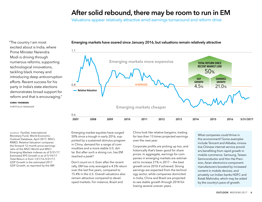### After solid rebound, there may be room to run in EM

Valuations appear relatively attractive amid earnings turnaround and reform drive

"The country I am most excited about is India, where Prime Minister Narendra Modi is driving through numerous reforms, supporting technological innovations, tackling black money and introducing deep anticorruption efforts. Recent success for his party in India's state elections demonstrates broad support for reform and that is encouraging."

#### **chris thomsen**

portfolio manager

Emerging markets have soared since January 2016, but valuations remain relatively attractive



sources: FactSet; International Monetary Fund, World Economic Outlook Database, April 2017; MSCI; RIMES. Relative Valuation compares the forward 12-month price-earnings ratio of the MSCI World and MSCI Emerging Markets indexes as of 5/31/17. Estimated EPS Growth is as of 5/14/17. Total Return is from 1/21/16–5/31/17. GDP Growth is the estimated 2017 GDP Growth, as reported by the IMF.

Emerging market equities have surged 50% since a trough in early 2016, supported by a sustained stimulus program in China, demand for a range of commodities and a more stable U.S. dollar. But after such a strong run, has EM reached a peak?

Don't count on it. Even after the recent rally, EM has only averaged a 4.5% return over the last five years, compared to 15.4% in the U.S. Overall valuations also remain attractive compared to developed markets. For instance, Brazil and

China look like relative bargains, trading for less than 13 times projected earnings over the next year.

Corporate profits are picking up too, and historically that's been good for share prices. In aggregate, earnings for companies in emerging markets are estimated to increase 21% in 2017 — the best growth since 2010 if achieved. Strong earnings are expected from the technology sector, while companies domiciled in India, China and Brazil are projected to see stable growth through 2018 following several uneven years.

What companies could thrive in this environment? Some examples include Tencent and Alibaba, innovative Chinese internet service providers benefiting from rapid growth in mobile commerce; Samsung, Taiwan Semiconductor and Hon Hai Precision, Asian electronics-component manufacturers boosted by increased content in mobile devices; and privately run Indian banks HDFC and Kotak Mahindra, which may be aided by the country's pace of growth.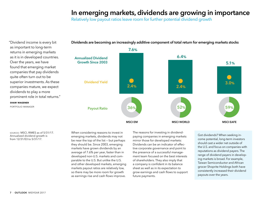### In emerging markets, dividends are growing in importance

Relatively low payout ratios leave room for further potential dividend growth



Dividends are becoming an increasingly additive component of total return for emerging markets stocks

returns in emerging markets as it is in developed countries. Over the years, we have found that emerging market companies that pay dividends quite often turn out to be superior investments. As these companies mature, we expect dividends to play a more prominent role in total returns."

"Dividend income is every bit as important to long-term

**shaw wagener**

portfolio manager

sources: MSCI, RIMES as of 5/31/17. Annualized dividend growth is from 12/31/03 to 5/31/17.

When considering reasons to invest in emerging markets, dividends may not be near the top of the list — but perhaps they should be. Since 2003, emerging markets have grown dividends by an average of 7.6% per year, faster than in developed non-U.S. markets and comparable to the U.S. But unlike the U.S. and other developed markets, emerging markets payout ratios are relatively low, so there may be more room for growth as earnings rise and cash flows improve.

The reasons for investing in dividendpaying companies in emerging markets mirror those for developed markets: Dividends can be an indicator of effective corporate governance and point to the presence of a successful management team focused on the best interests of shareholders. They also imply that a company is confident in its balance sheet as well as in its expectation to grow earnings and cash flows to support future payments.

Got dividends? When seeking income potential, long-term investors should cast a wider net outside of the U.S. and focus on companies with reputations as dividend payers. The range of dividend payers in developing markets is broad. For example, Taiwan Semiconductor and African grocer Shoprite Holdings both have consistently increased their dividend payouts over the years.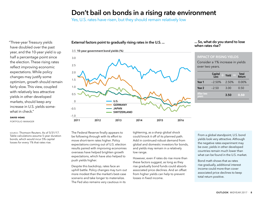### Don't bail on bonds in a rising rate environment

Yes, U.S. rates have risen, but they should remain relatively low

External factors point to gradually rising rates in the U.S. ...

"Three-year Treasury yields have doubled over the past year, and the 10-year yield is up half a percentage point since the election. These rising rates reflect improving economic expectations. While policy changes may justify some optimism, growth should remain fairly slow. This view, coupled with relatively less attractive yields in other developed markets, should keep any increase in U.S. yields somewhat in check."

#### **david hoag**

portfolio manager

source: Thomson Reuters. As of 5/31/17. Table calculations assume 5-year duration bonds, which would incur 5% capital losses for every 1% that rates rise.



#### ... So, what do you stand to lose when rates rise?

#### IMPACT OF RISING YIELDS

Consider a 1% increase in yields over two years.

|                           | Capital<br>Loss | Yield | <b>Total</b><br>Return |
|---------------------------|-----------------|-------|------------------------|
| Year 1                    | $-2.50%$        | 2.50% | $0.00\%$               |
| Year <sub>2</sub>         | $-2.50$         | 3.00  | 0.50                   |
| <b>After two</b><br>vears |                 | 3.50  | 0.50                   |

The Federal Reserve finally appears to be following through with its effort to move short-term rates higher. Policy expectations coming out of U.S. election results paired with improving economies overseas have helped brighten growth expectations, which have also helped to push yields higher.

Despite this backdrop, rates face an uphill battle. Policy changes may turn out more modest than the market's best-case scenario and take longer to materialize. The Fed also remains very cautious in its

tightening, as a sharp global shock could knock it off of its planned path. Add in continued robust demand from global and domestic investors for bonds, and yields may remain in a relatively low range.

However, even if rates do rise more than these factors suggest, as long as they rise gradually bond funds could absorb associated price declines. And an offset from higher yields can help to prevent losses in fixed income.

From a global standpoint, U.S. bond yields look very attractive. Although the negative rates experiment may be over, yields in other developed countries remain much lower than what can be found in the U.S. market.

Bond math shows that as rates rise gradually, additional interest income could more than cover associated price declines to keep total return positive.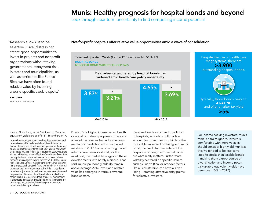## Munis: Healthy prognosis for hospital bonds and beyond

Look through near-term uncertainty to find compelling income potential

"Research allows us to be selective. Fiscal distress can create good opportunities to invest in projects and nonprofit organizations without taking governmental repayment risk. In states and municipalities, as well as territories like Puerto Rico, we have often found relative value by investing around specific trouble spots."

#### **karl zeile**

portfolio manager

Not-for-profit hospitals offer relative value opportunities amid a wave of consolidation

Taxable-Equivalent Yields (for the 12 months ended 5/31/17) HOSPITAL BONDS MUNICIPAL BOND MARKET EX-HOSPITALS



#### source: Bloomberg Index Services Ltd. Taxableequivalent yields are as of 5/31/16 and 5/31/17.

Income from municipal bonds may be subject to state or local income taxes and/or the federal alternative minimum tax. Certain other income, as well as capital gain distributions, may be taxable. Methodology for calculation of taxable-equivalent yield: Based on 2016 federal tax rates. For the year 2016, there will be an Unearned Income Medicare Contribution Tax of 3.8% that applies to net investment income for taxpayers whose modified adjusted gross income exceeds \$200,000 (for single filers) and \$250,000 (for married filing jointly). Thus taxpayers in the highest tax bracket will face a combined 43.4% marginal tax rate on their investment income. The federal rates do not include an adjustment for the loss of personal exemptions and the phase-out of itemized deductions that are applicable to certain taxable income levels. Index proxies for muni market is Bloomberg Barclays Municipal Bond Index. The indexes are unmanaged and, therefore, have no expenses. Investors cannot invest directly in indexes.

Puerto Rico. Higher interest rates. Health care and tax reform proposals. These are a few of the reasons behind some commentators' predictions of muni market mayhem in 2017. So far, so wrong. Broad returns have been solid and, for the most part, the market has digested these developments with barely a hiccup. That said, municipal bond yields do remain above average 2016 levels and relative value has emerged in various revenue bond sectors.

Revenue bonds — such as those linked to hospitals, schools or toll roads account for more than two-thirds of the investable universe. For this type of muni bond, the credit fundamentals of the corporate or nongovernmental issuer are what really matters. Furthermore, volatility centered on specific issuers such as Puerto Rico, or broader factors like a Fed rate hike, can have a silver lining — creating attractive entry points for selective investors.



For income-seeking investors, munis remain hard to ignore. Investors comfortable with more volatility should consider high-yield munis as they've tended to be less correlated to stocks than taxable bonds — making them a great source of diversification and income potential (taxable-equivalent yields have been over 10% in 2017).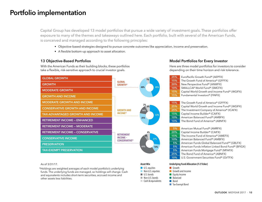## Portfolio implementation

Capital Group has developed 13 model portfolios that pursue a wide variety of investment goals. These portfolios offer exposure to many of the themes and takeaways outlined here. Each portfolio, built with several of the American Funds, is conceived and managed according to the following principles:

- Objective-based strategies designed to pursue concrete outcomes like appreciation, income and preservation.
- A flexible bottom-up approach to asset allocation.

#### 13 Objective-Based Portfolios

With the American Funds as their building blocks, these portfolios take a flexible, risk-sensitive approach to crucial investor goals.

| <b>GLOBAL GROWTH</b>                    | 7%                                            |
|-----------------------------------------|-----------------------------------------------|
| <b>GROWTH</b>                           | <b>GLOBAL</b><br><b>GROWTH*</b><br>48%<br>45% |
| <b>MODERATE GROWTH</b>                  |                                               |
| <b>GROWTH AND INCOME</b>                |                                               |
| <b>MODERATE GROWTH AND INCOME</b>       | 2%                                            |
| <b>CONSERVATIVE GROWTH AND INCOME</b>   | 6%<br><b>GROWTH AND</b><br>14%                |
| <b>TAX-ADVANTAGED GROWTH AND INCOME</b> | <b>INCOME*</b><br>53%                         |
| <b>RETIREMENT INCOME - ENHANCED</b>     | 25%                                           |
| <b>RETIREMENT INCOME - MODERATE</b>     |                                               |
| <b>RETIREMENT INCOME - CONSERVATIVE</b> | 4%<br><b>RETIREMENT</b>                       |
| <b>CONSERVATIVE INCOME</b>              | 6%<br>INCOME-<br>27%<br><b>CONSERVATIVE*</b>  |
| <b>PRESERVATION</b>                     | 49%<br>14%                                    |
| <b>TAX-EXEMPT PRESERVATION</b>          |                                               |
|                                         |                                               |

#### Model Portfolios for Every Investor

Here are three model portfolios for investors to consider depending on their time horizon and risk tolerance.

| 25%                                            | EuroPacific Growth Fund® (AEPFX)                          |  |  |  |  |
|------------------------------------------------|-----------------------------------------------------------|--|--|--|--|
| 15%                                            | The Growth Fund of America® (GFFFX)                       |  |  |  |  |
| 20%                                            | New Perspective Fund® (ANWFX)                             |  |  |  |  |
| 10%                                            | SMALLCAP World Fund® (SMCFX)                              |  |  |  |  |
| 15%                                            | Capital World Growth and Income Fund® (WGIFX)             |  |  |  |  |
| 15%                                            | Fundamental Investors® (FINFX)                            |  |  |  |  |
|                                                |                                                           |  |  |  |  |
| 15%                                            | The Growth Fund of America® (GFFFX)                       |  |  |  |  |
| 25%                                            | Capital World Growth and Income Fund® (WGIFX)             |  |  |  |  |
| 25%                                            | The Investment Company of America® (ICAFX)                |  |  |  |  |
| 15%                                            | Capital Income Builder® (CAIFX)                           |  |  |  |  |
| 10%                                            | American Balanced Fund® (AMBFX)                           |  |  |  |  |
| 10%                                            | The Bond Fund of America® (ABNFX)                         |  |  |  |  |
|                                                |                                                           |  |  |  |  |
| 5%                                             | American Mutual Fund® (AMRFX)                             |  |  |  |  |
| 20%                                            | Capital Income Builder® (CAIFX)                           |  |  |  |  |
| 15%                                            | The Income Fund of America® (AMEFX)                       |  |  |  |  |
| 10%                                            | American Balanced Fund® (AMBFX)                           |  |  |  |  |
| 5%                                             | American Funds Global Balanced Fund <sup>SM</sup> (GBLFX) |  |  |  |  |
| 5%                                             | American Funds Inflation Linked Bond Fund® (BFIGX)        |  |  |  |  |
| 5%                                             | American Funds Mortgage Fund® (MFAFX)                     |  |  |  |  |
| 25%                                            | The Bond Fund of America® (ABNFX)                         |  |  |  |  |
| 10%                                            | U.S. Government Securities Fund® (GVTFX)                  |  |  |  |  |
| <b>Underlying Fund Allocation (F-2 Ticker)</b> |                                                           |  |  |  |  |

#### As of 3/31/17.

\*Holdings are weighted averages of each model portfolio's underlying funds. The underlying funds are managed, so holdings will change. Cash and equivalents includes short-term securities, accrued income and other assets less liabilities.

#### Asset Mix

- U.S. equities ■ Non-U.S. equities ■ U.S. bonds ■ Non-U.S. bonds ■ Cash & equivalents
	- Bond
		- Tax-Exempt Bond

■ Growth ■ Growth and Income ■ Equity Income ■ Balanced